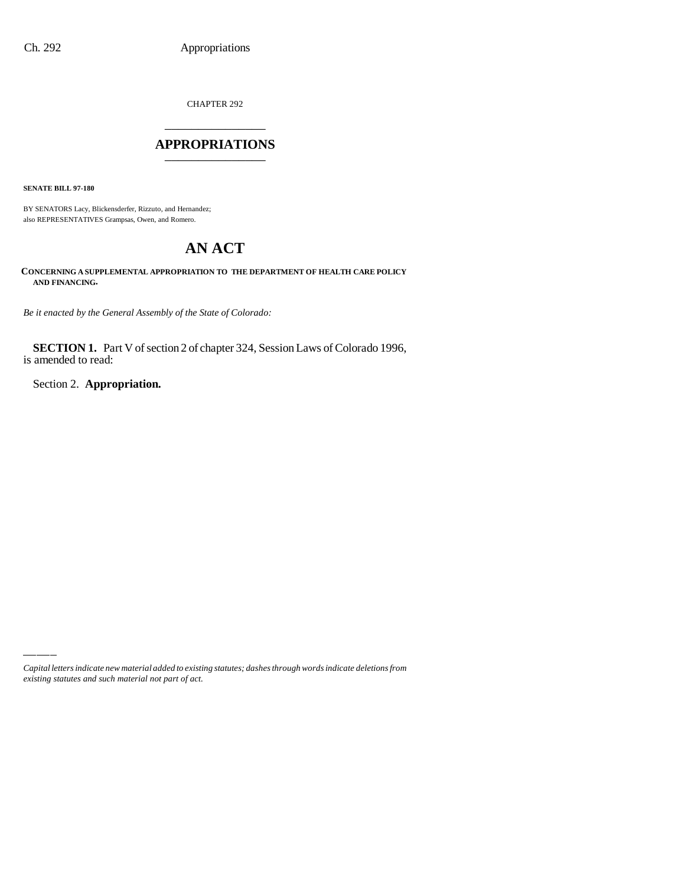CHAPTER 292 \_\_\_\_\_\_\_\_\_\_\_\_\_\_\_

#### **APPROPRIATIONS** \_\_\_\_\_\_\_\_\_\_\_\_\_\_\_

**SENATE BILL 97-180**

BY SENATORS Lacy, Blickensderfer, Rizzuto, and Hernandez; also REPRESENTATIVES Grampsas, Owen, and Romero.

# **AN ACT**

**CONCERNING A SUPPLEMENTAL APPROPRIATION TO THE DEPARTMENT OF HEALTH CARE POLICY AND FINANCING.**

*Be it enacted by the General Assembly of the State of Colorado:*

**SECTION 1.** Part V of section 2 of chapter 324, Session Laws of Colorado 1996, is amended to read:

Section 2. **Appropriation.**

*Capital letters indicate new material added to existing statutes; dashes through words indicate deletions from existing statutes and such material not part of act.*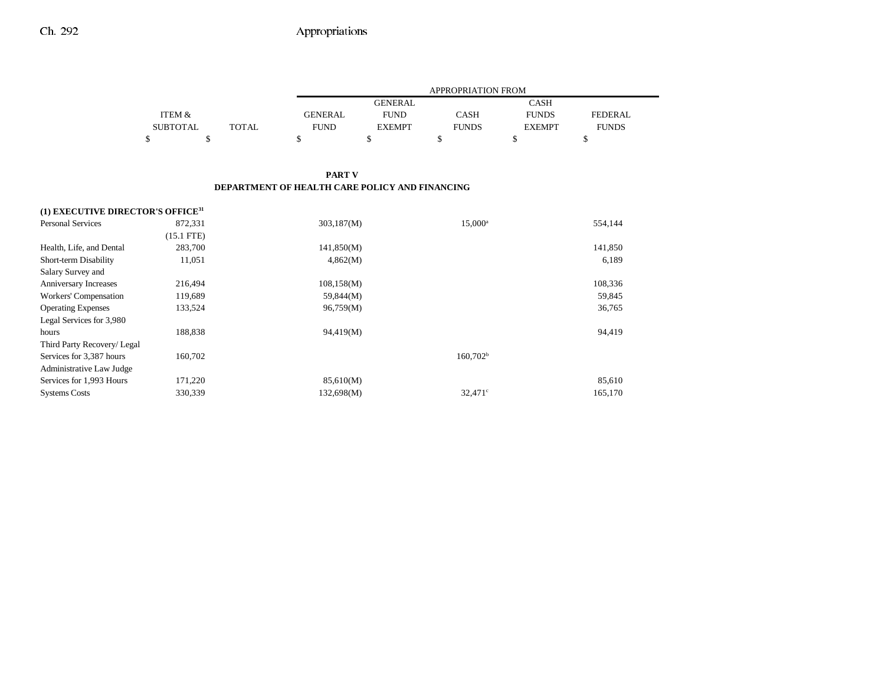|          |        |                | APPROPRIATION FROM |              |               |              |  |
|----------|--------|----------------|--------------------|--------------|---------------|--------------|--|
|          |        |                | GENERAL            |              | CASH          |              |  |
| ITEM &   |        | <b>GENERAL</b> | <b>FUND</b>        | CASH         | <b>FUNDS</b>  | FEDERAL.     |  |
| SUBTOTAL | TOTAL. | FUND           | <b>EXEMPT</b>      | <b>FUNDS</b> | <b>EXEMPT</b> | <b>FUNDS</b> |  |
|          |        |                |                    |              |               |              |  |

#### **PART V DEPARTMENT OF HEALTH CARE POLICY AND FINANCING**

| (1) EXECUTIVE DIRECTOR'S OFFICE <sup>31</sup> |              |            |                      |         |
|-----------------------------------------------|--------------|------------|----------------------|---------|
| <b>Personal Services</b>                      | 872,331      | 303,187(M) | $15,000^a$           | 554,144 |
|                                               | $(15.1$ FTE) |            |                      |         |
| Health, Life, and Dental                      | 283,700      | 141,850(M) |                      | 141,850 |
| Short-term Disability                         | 11,051       | 4,862(M)   |                      | 6,189   |
| Salary Survey and                             |              |            |                      |         |
| <b>Anniversary Increases</b>                  | 216,494      | 108,158(M) |                      | 108,336 |
| Workers' Compensation                         | 119,689      | 59,844(M)  |                      | 59,845  |
| <b>Operating Expenses</b>                     | 133,524      | 96,759(M)  |                      | 36,765  |
| Legal Services for 3,980                      |              |            |                      |         |
| hours                                         | 188,838      | 94,419(M)  |                      | 94,419  |
| Third Party Recovery/ Legal                   |              |            |                      |         |
| Services for 3,387 hours                      | 160,702      |            | 160,702 <sup>b</sup> |         |
| Administrative Law Judge                      |              |            |                      |         |
| Services for 1,993 Hours                      | 171,220      | 85,610(M)  |                      | 85,610  |
| <b>Systems Costs</b>                          | 330,339      | 132,698(M) | $32.471^{\circ}$     | 165,170 |
|                                               |              |            |                      |         |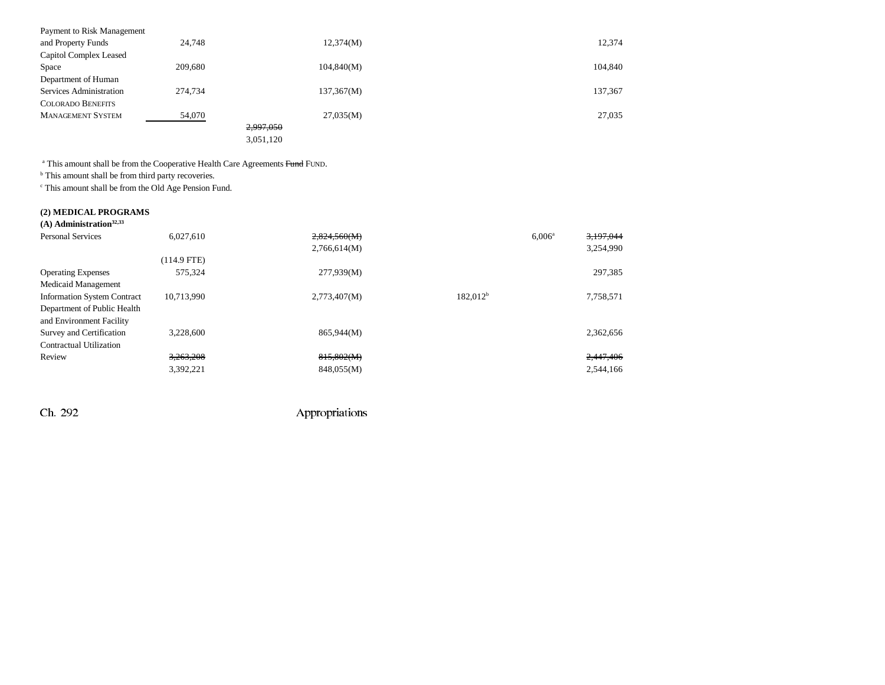| Payment to Risk Management |         |            |         |
|----------------------------|---------|------------|---------|
| and Property Funds         | 24.748  | 12,374(M)  | 12,374  |
| Capitol Complex Leased     |         |            |         |
| Space                      | 209,680 | 104,840(M) | 104,840 |
| Department of Human        |         |            |         |
| Services Administration    | 274,734 | 137,367(M) | 137,367 |
| <b>COLORADO BENEFITS</b>   |         |            |         |
| <b>MANAGEMENT SYSTEM</b>   | 54,070  | 27,035(M)  | 27,035  |
|                            |         | 2,997,050  |         |
|                            |         | 3,051,120  |         |
|                            |         |            |         |

<sup>a</sup> This amount shall be from the Cooperative Health Care Agreements Fund FUND.

<sup>b</sup> This amount shall be from third party recoveries.

 $\,^{\mathrm{c}}$  This amount shall be from the Old Age Pension Fund.

#### **(2) MEDICAL PROGRAMS**

| $(A)$ Administration <sup>32,33</sup> |               |              |                      |                    |           |
|---------------------------------------|---------------|--------------|----------------------|--------------------|-----------|
| Personal Services                     | 6.027.610     | 2,824,560(M) |                      | 6.006 <sup>a</sup> | 3,197,044 |
|                                       |               | 2,766,614(M) |                      |                    | 3,254,990 |
|                                       | $(114.9$ FTE) |              |                      |                    |           |
| <b>Operating Expenses</b>             | 575.324       | 277,939(M)   |                      |                    | 297,385   |
| Medicaid Management                   |               |              |                      |                    |           |
| <b>Information System Contract</b>    | 10,713,990    | 2,773,407(M) | 182.012 <sup>b</sup> |                    | 7,758,571 |
| Department of Public Health           |               |              |                      |                    |           |
| and Environment Facility              |               |              |                      |                    |           |
| Survey and Certification              | 3.228,600     | 865,944(M)   |                      |                    | 2,362,656 |
| Contractual Utilization               |               |              |                      |                    |           |
| Review                                | 3,263,208     | 815,802(M)   |                      |                    | 2,447,406 |
|                                       | 3,392,221     | 848,055(M)   |                      |                    | 2.544.166 |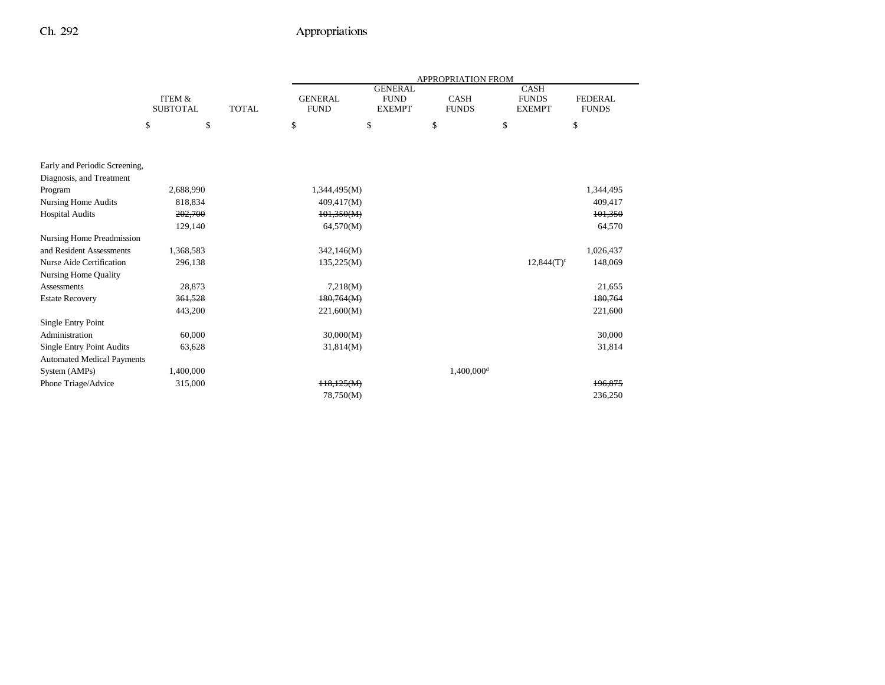|                                   |                                      |              |                               |                                                | <b>APPROPRIATION FROM</b>   |                                              |                                |
|-----------------------------------|--------------------------------------|--------------|-------------------------------|------------------------------------------------|-----------------------------|----------------------------------------------|--------------------------------|
|                                   | <b>ITEM &amp;</b><br><b>SUBTOTAL</b> | <b>TOTAL</b> | <b>GENERAL</b><br><b>FUND</b> | <b>GENERAL</b><br><b>FUND</b><br><b>EXEMPT</b> | <b>CASH</b><br><b>FUNDS</b> | <b>CASH</b><br><b>FUNDS</b><br><b>EXEMPT</b> | <b>FEDERAL</b><br><b>FUNDS</b> |
|                                   |                                      |              |                               |                                                |                             |                                              |                                |
|                                   | \$<br>\$                             |              | \$                            | \$                                             | \$                          | \$                                           | \$                             |
|                                   |                                      |              |                               |                                                |                             |                                              |                                |
| Early and Periodic Screening,     |                                      |              |                               |                                                |                             |                                              |                                |
| Diagnosis, and Treatment          |                                      |              |                               |                                                |                             |                                              |                                |
| Program                           | 2,688,990                            |              | 1,344,495(M)                  |                                                |                             |                                              | 1,344,495                      |
| Nursing Home Audits               | 818,834                              |              | 409,417(M)                    |                                                |                             |                                              | 409,417                        |
| <b>Hospital Audits</b>            | 202,700                              |              | 101,350(M)                    |                                                |                             |                                              | 101,350                        |
|                                   | 129,140                              |              | 64,570(M)                     |                                                |                             |                                              | 64,570                         |
| Nursing Home Preadmission         |                                      |              |                               |                                                |                             |                                              |                                |
| and Resident Assessments          | 1,368,583                            |              | 342,146(M)                    |                                                |                             |                                              | 1,026,437                      |
| Nurse Aide Certification          | 296,138                              |              | 135,225(M)                    |                                                |                             | $12,844(T)^c$                                | 148,069                        |
| <b>Nursing Home Quality</b>       |                                      |              |                               |                                                |                             |                                              |                                |
| <b>Assessments</b>                | 28,873                               |              | 7,218(M)                      |                                                |                             |                                              | 21,655                         |
| <b>Estate Recovery</b>            | 361,528                              |              | 180,764(M)                    |                                                |                             |                                              | 180,764                        |
|                                   | 443,200                              |              | 221,600(M)                    |                                                |                             |                                              | 221,600                        |
| Single Entry Point                |                                      |              |                               |                                                |                             |                                              |                                |
| Administration                    | 60,000                               |              | 30,000(M)                     |                                                |                             |                                              | 30,000                         |
| <b>Single Entry Point Audits</b>  | 63,628                               |              | 31,814(M)                     |                                                |                             |                                              | 31,814                         |
| <b>Automated Medical Payments</b> |                                      |              |                               |                                                |                             |                                              |                                |
| System (AMPs)                     | 1,400,000                            |              |                               |                                                | 1,400,000 <sup>d</sup>      |                                              |                                |
| Phone Triage/Advice               | 315,000                              |              | H8,125(M)                     |                                                |                             |                                              | 196,875                        |
|                                   |                                      |              | 78,750(M)                     |                                                |                             |                                              | 236,250                        |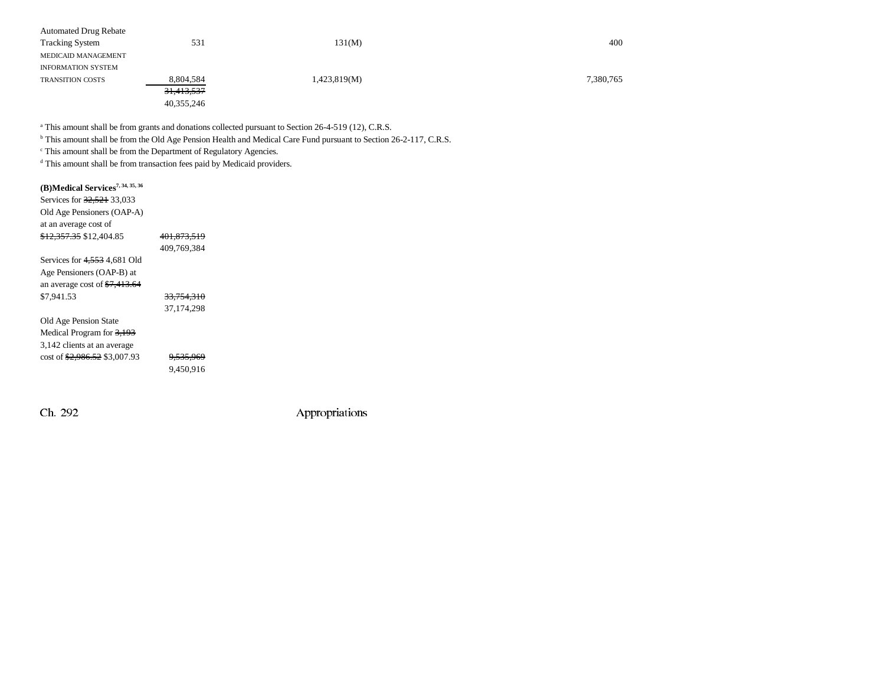| <b>Automated Drug Rebate</b> |                       |              |           |
|------------------------------|-----------------------|--------------|-----------|
| <b>Tracking System</b>       | 531                   | 131(M)       | 400       |
| MEDICAID MANAGEMENT          |                       |              |           |
| <b>INFORMATION SYSTEM</b>    |                       |              |           |
| <b>TRANSITION COSTS</b>      | 8,804,584             | 1,423,819(M) | 7,380,765 |
|                              | <del>31,413,537</del> |              |           |
|                              | 40,355,246            |              |           |

<sup>a</sup> This amount shall be from grants and donations collected pursuant to Section 26-4-519 (12), C.R.S.

<sup>b</sup> This amount shall be from the Old Age Pension Health and Medical Care Fund pursuant to Section 26-2-117, C.R.S.

c This amount shall be from the Department of Regulatory Agencies.

<sup>d</sup> This amount shall be from transaction fees paid by Medicaid providers.

| (B)Medical Services <sup>7, 34, 35, 36</sup> |                       |  |
|----------------------------------------------|-----------------------|--|
| Services for 32,521 33,033                   |                       |  |
| Old Age Pensioners (OAP-A)                   |                       |  |
| at an average cost of                        |                       |  |
| <del>\$12.357.35</del> \$12.404.85           | 401.873.519           |  |
|                                              | 409.769.384           |  |
| Services for $4,553$ 4,681 Old               |                       |  |
| Age Pensioners (OAP-B) at                    |                       |  |
| an average cost of $\frac{17,413,64}{2}$     |                       |  |
| \$7,941.53                                   | <del>33.754.310</del> |  |
|                                              | 37.174.298            |  |
| Old Age Pension State                        |                       |  |
| Medical Program for 3,193                    |                       |  |
| 3,142 clients at an average                  |                       |  |
| cost of \$2,986.52 \$3,007.93                | <del>9,535,969</del>  |  |
|                                              | 9.450.916             |  |
|                                              |                       |  |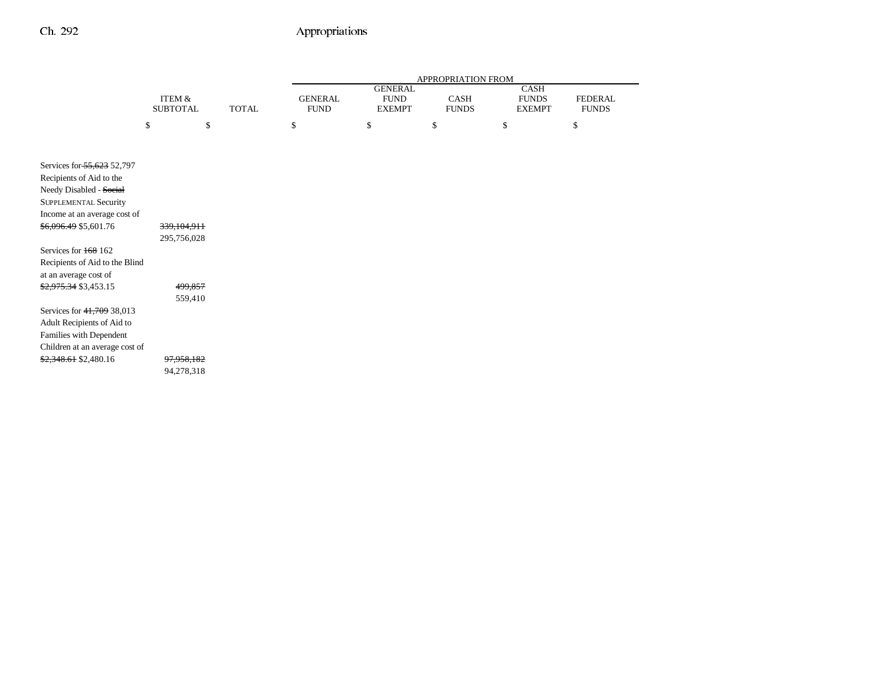|                                                                                                                                                                            |                                      |              |                               |                                                | APPROPRIATION FROM   |                                       |                                |
|----------------------------------------------------------------------------------------------------------------------------------------------------------------------------|--------------------------------------|--------------|-------------------------------|------------------------------------------------|----------------------|---------------------------------------|--------------------------------|
|                                                                                                                                                                            | <b>ITEM &amp;</b><br><b>SUBTOTAL</b> | <b>TOTAL</b> | <b>GENERAL</b><br><b>FUND</b> | <b>GENERAL</b><br><b>FUND</b><br><b>EXEMPT</b> | CASH<br><b>FUNDS</b> | CASH<br><b>FUNDS</b><br><b>EXEMPT</b> | <b>FEDERAL</b><br><b>FUNDS</b> |
|                                                                                                                                                                            | \$                                   | \$           | \$                            | \$                                             | \$                   | \$                                    | \$                             |
|                                                                                                                                                                            |                                      |              |                               |                                                |                      |                                       |                                |
| Services for 55,623 52,797<br>Recipients of Aid to the<br>Needy Disabled - Social<br><b>SUPPLEMENTAL Security</b><br>Income at an average cost of<br>\$6,096.49 \$5,601.76 | 339,104,911                          |              |                               |                                                |                      |                                       |                                |
| Services for 168 162<br>Recipients of Aid to the Blind<br>at an average cost of<br>\$2,975.34 \$3,453.15                                                                   | 295,756,028<br>499,857               |              |                               |                                                |                      |                                       |                                |
| Services for 41,709 38,013<br>Adult Recipients of Aid to<br>Families with Dependent<br>Children at an average cost of<br>\$2,348.61 \$2,480.16                             | 559,410<br>97,958,182<br>94,278,318  |              |                               |                                                |                      |                                       |                                |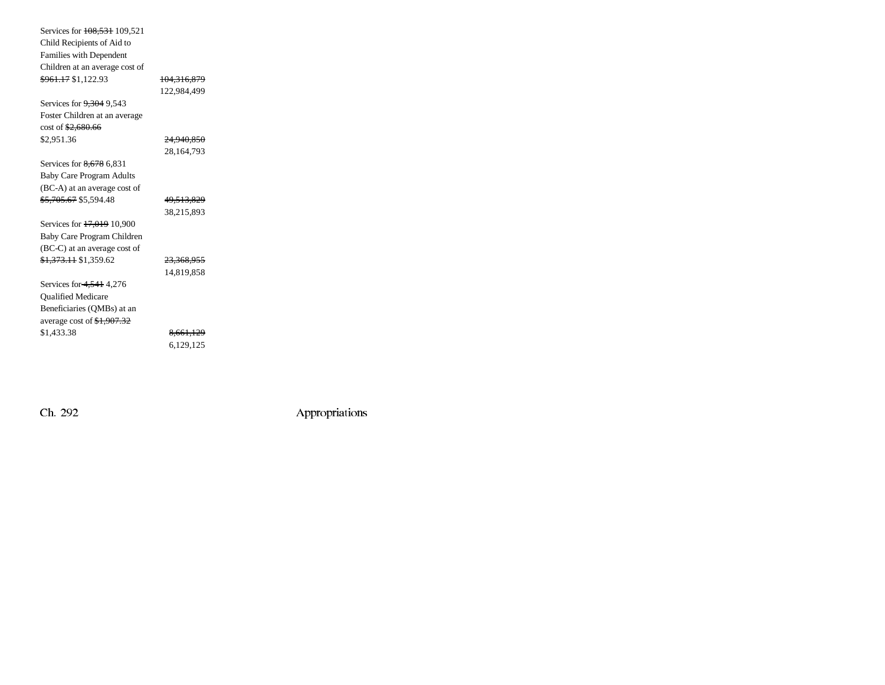| Services for 108,531 109,521         |                       |
|--------------------------------------|-----------------------|
| Child Recipients of Aid to           |                       |
| Families with Dependent              |                       |
| Children at an average cost of       |                       |
| <del>\$961.17</del> \$1,122.93       | 104,316,879           |
|                                      | 122.984.499           |
| Services for 9,304 9,543             |                       |
| Foster Children at an average        |                       |
| $\cot 62,680.66$                     |                       |
| \$2,951.36                           | <del>24.940.850</del> |
|                                      | 28,164,793            |
| Services for 8,678 6,831             |                       |
| <b>Baby Care Program Adults</b>      |                       |
| (BC-A) at an average cost of         |                       |
| <del>\$5,705.67</del> \$5,594.48     | 49,513,829            |
|                                      | 38,215,893            |
| Services for 17,019 10,900           |                       |
| Baby Care Program Children           |                       |
| (BC-C) at an average cost of         |                       |
| <del>\$1,373.11</del> \$1,359.62     | 23,368,955            |
|                                      | 14,819,858            |
| Services for 4,541 4,276             |                       |
| <b>Qualified Medicare</b>            |                       |
| Beneficiaries (QMBs) at an           |                       |
| average cost of $\frac{1,907.32}{2}$ |                       |
| \$1,433.38                           | 8,661,129             |
|                                      | 6,129,125             |
|                                      |                       |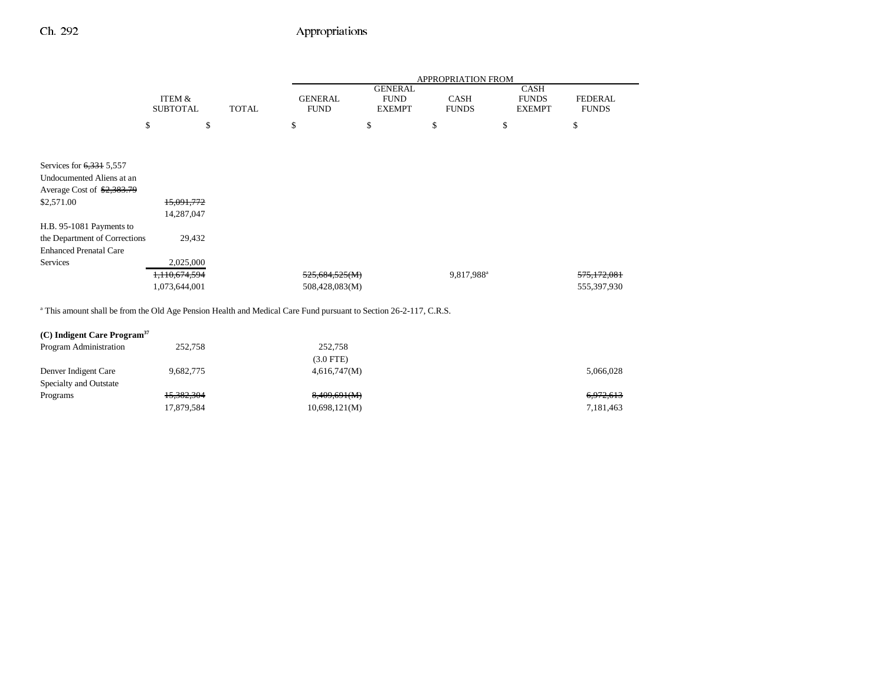|                               |                                      |              |                               |                                                | <b>APPROPRIATION FROM</b>   |                                              |                                |
|-------------------------------|--------------------------------------|--------------|-------------------------------|------------------------------------------------|-----------------------------|----------------------------------------------|--------------------------------|
|                               | <b>ITEM &amp;</b><br><b>SUBTOTAL</b> | <b>TOTAL</b> | <b>GENERAL</b><br><b>FUND</b> | <b>GENERAL</b><br><b>FUND</b><br><b>EXEMPT</b> | <b>CASH</b><br><b>FUNDS</b> | <b>CASH</b><br><b>FUNDS</b><br><b>EXEMPT</b> | <b>FEDERAL</b><br><b>FUNDS</b> |
|                               | \$                                   | \$           | \$                            | \$                                             | \$                          | \$                                           | \$                             |
|                               |                                      |              |                               |                                                |                             |                                              |                                |
| Services for $6,331$ 5,557    |                                      |              |                               |                                                |                             |                                              |                                |
| Undocumented Aliens at an     |                                      |              |                               |                                                |                             |                                              |                                |
| Average Cost of \$2,383.79    |                                      |              |                               |                                                |                             |                                              |                                |
| \$2,571.00                    | 15,091,772                           |              |                               |                                                |                             |                                              |                                |
|                               | 14,287,047                           |              |                               |                                                |                             |                                              |                                |
| H.B. 95-1081 Payments to      |                                      |              |                               |                                                |                             |                                              |                                |
| the Department of Corrections | 29,432                               |              |                               |                                                |                             |                                              |                                |
| <b>Enhanced Prenatal Care</b> |                                      |              |                               |                                                |                             |                                              |                                |
| Services                      | 2,025,000                            |              |                               |                                                |                             |                                              |                                |
|                               | 1,110,674,594                        |              | 525,684,525(M)                |                                                | 9,817,988 <sup>a</sup>      |                                              | 575,172,081                    |
|                               | 1,073,644,001                        |              | 508,428,083(M)                |                                                |                             |                                              | 555,397,930                    |

| Program Administration | 252,758    | 252,758       |           |
|------------------------|------------|---------------|-----------|
|                        |            | $(3.0$ FTE)   |           |
| Denver Indigent Care   | 9.682.775  | 4,616,747(M)  | 5,066,028 |
| Specialty and Outstate |            |               |           |
| Programs               | 15,382,304 | 8,409,691(M)  | 6,972,613 |
|                        | 17,879,584 | 10,698,121(M) | 7,181,463 |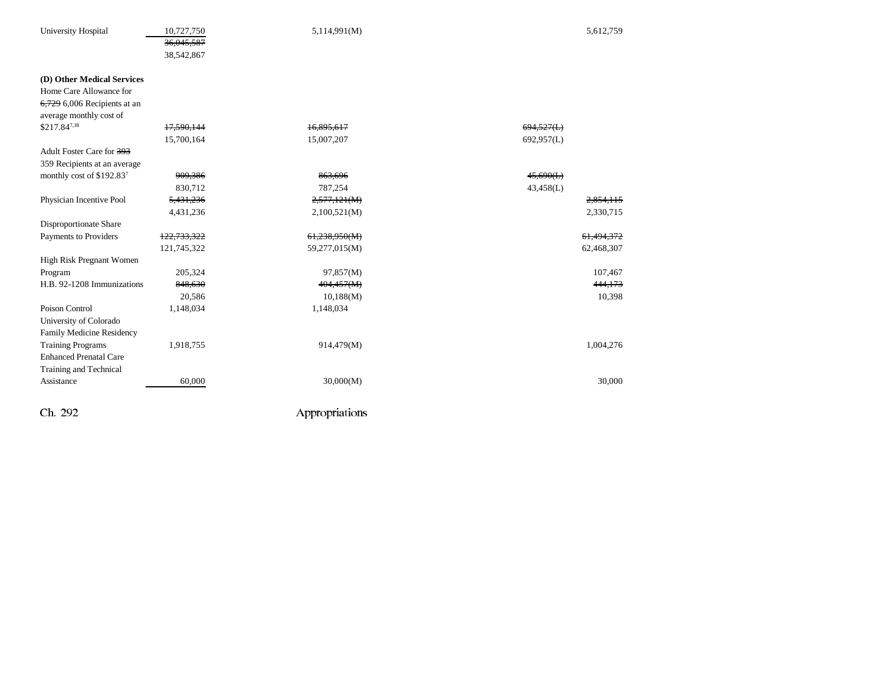| University Hospital            | 10,727,750<br>36,045,587<br>38,542,867 | 5,114,991(M)   | 5,612,759  |
|--------------------------------|----------------------------------------|----------------|------------|
| (D) Other Medical Services     |                                        |                |            |
| Home Care Allowance for        |                                        |                |            |
| $6,729$ 6,006 Recipients at an |                                        |                |            |
| average monthly cost of        |                                        |                |            |
| $$217.84^{7,38}$               | 17,590,144                             | 16,895,617     | 694,527(L) |
|                                | 15,700,164                             | 15,007,207     | 692,957(L) |
| Adult Foster Care for 393      |                                        |                |            |
| 359 Recipients at an average   |                                        |                |            |
| monthly cost of \$192.837      | 909,386                                | 863,696        | 45,690(L)  |
|                                | 830,712                                | 787,254        | 43,458(L)  |
| Physician Incentive Pool       | 5,431,236                              | 2,577,121(M)   | 2,854,115  |
|                                | 4,431,236                              | 2,100,521(M)   | 2,330,715  |
| Disproportionate Share         |                                        |                |            |
| Payments to Providers          | 122,733,322                            | 61,238,950(M)  | 61,494,372 |
|                                | 121,745,322                            | 59,277,015(M)  | 62,468,307 |
| High Risk Pregnant Women       |                                        |                |            |
| Program                        | 205,324                                | 97,857(M)      | 107,467    |
| H.B. 92-1208 Immunizations     | 848,630                                | 404,457(M)     | 444,173    |
|                                | 20,586                                 | 10,188(M)      | 10,398     |
| Poison Control                 | 1,148,034                              | 1,148,034      |            |
| University of Colorado         |                                        |                |            |
| Family Medicine Residency      |                                        |                |            |
| <b>Training Programs</b>       | 1,918,755                              | 914,479(M)     | 1,004,276  |
| <b>Enhanced Prenatal Care</b>  |                                        |                |            |
| Training and Technical         |                                        |                |            |
| Assistance                     | 60,000                                 | 30,000(M)      | 30,000     |
| Ch. 292                        |                                        | Appropriations |            |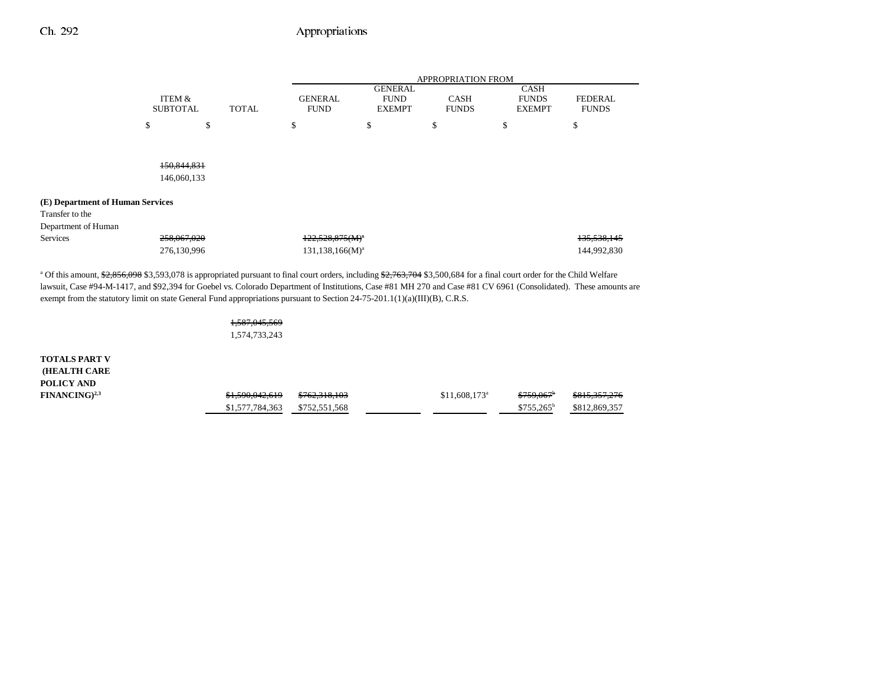|                                                                                                                                                                                                                                                                                                    |                 |    |              | <b>APPROPRIATION FROM</b> |                               |              |    |                             |                |
|----------------------------------------------------------------------------------------------------------------------------------------------------------------------------------------------------------------------------------------------------------------------------------------------------|-----------------|----|--------------|---------------------------|-------------------------------|--------------|----|-----------------------------|----------------|
|                                                                                                                                                                                                                                                                                                    | ITEM &          |    |              | <b>GENERAL</b>            | <b>GENERAL</b><br><b>FUND</b> | <b>CASH</b>  |    | <b>CASH</b><br><b>FUNDS</b> | <b>FEDERAL</b> |
|                                                                                                                                                                                                                                                                                                    | <b>SUBTOTAL</b> |    | <b>TOTAL</b> | <b>FUND</b>               | <b>EXEMPT</b>                 | <b>FUNDS</b> |    | <b>EXEMPT</b>               | <b>FUNDS</b>   |
|                                                                                                                                                                                                                                                                                                    | \$              | \$ | \$           |                           | \$                            | \$           | \$ |                             | \$             |
|                                                                                                                                                                                                                                                                                                    |                 |    |              |                           |                               |              |    |                             |                |
|                                                                                                                                                                                                                                                                                                    | 150.844.831     |    |              |                           |                               |              |    |                             |                |
|                                                                                                                                                                                                                                                                                                    | 146,060,133     |    |              |                           |                               |              |    |                             |                |
| (E) Department of Human Services                                                                                                                                                                                                                                                                   |                 |    |              |                           |                               |              |    |                             |                |
| Transfer to the                                                                                                                                                                                                                                                                                    |                 |    |              |                           |                               |              |    |                             |                |
| Department of Human                                                                                                                                                                                                                                                                                |                 |    |              |                           |                               |              |    |                             |                |
| <b>Services</b>                                                                                                                                                                                                                                                                                    | 258,067,020     |    |              | $122.528.875(M)^{3}$      |                               |              |    |                             | 135, 538, 145  |
|                                                                                                                                                                                                                                                                                                    | 276,130,996     |    |              | $131, 138, 166(M)^a$      |                               |              |    |                             | 144,992,830    |
| <sup>a</sup> Of this amount, \$2,856,098 \$3,593,078 is appropriated pursuant to final court orders, including \$2,763,704 \$3,500,684 for a final court order for the Child Welfare                                                                                                               |                 |    |              |                           |                               |              |    |                             |                |
| lawsuit, Case #94-M-1417, and \$92,394 for Goebel vs. Colorado Department of Institutions, Case #81 MH 270 and Case #81 CV 6961 (Consolidated). These amounts are<br>exempt from the statutory limit on state General Fund appropriations pursuant to Section $24-75-201.1(1)(a)(III)(B)$ , C.R.S. |                 |    |              |                           |                               |              |    |                             |                |
|                                                                                                                                                                                                                                                                                                    |                 |    |              |                           |                               |              |    |                             |                |

1,587,045,569

1,574,733,243

**TOTALS PART V (HEALTH CARE POLICY AND**  $FINANCING)^{2,3}$ 

| \$1,590,042,619 | <del>\$762,318,103</del> | $$11.608.173$ <sup>a</sup> | \$759.067 <sup>b</sup> | <del>\$815,357,276</del> |
|-----------------|--------------------------|----------------------------|------------------------|--------------------------|
| \$1,577,784,363 | \$752,551,568            |                            | $$755.265^b$           | \$812,869,357            |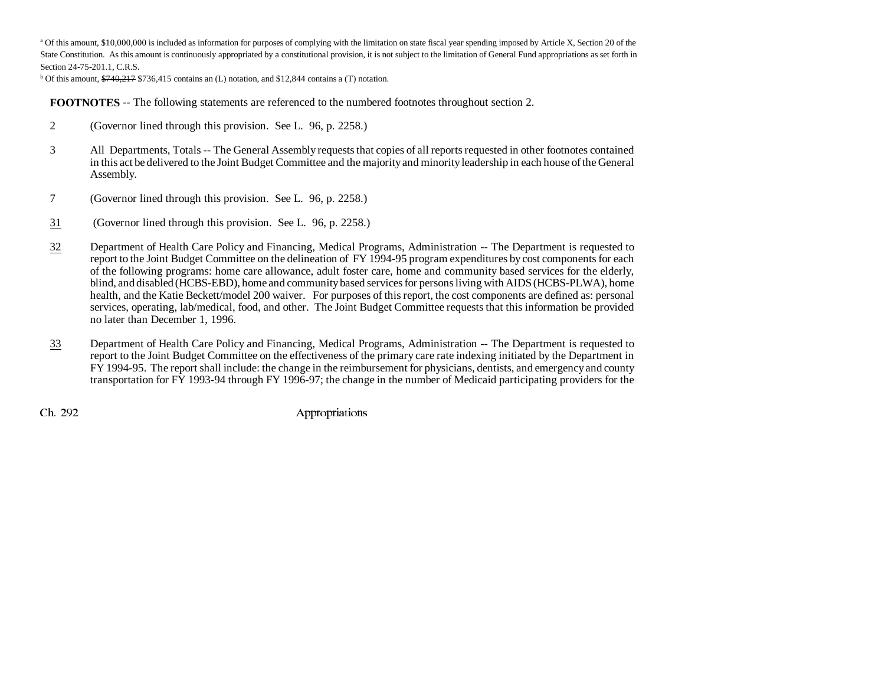<sup>a</sup> Of this amount, \$10,000,000 is included as information for purposes of complying with the limitation on state fiscal year spending imposed by Article X, Section 20 of the State Constitution. As this amount is continuously appropriated by a constitutional provision, it is not subject to the limitation of General Fund appropriations as set forth in Section 24-75-201.1, C.R.S.

 $b$  Of this amount,  $\frac{6740}{217}$  \$736,415 contains an (L) notation, and \$12,844 contains a (T) notation.

**FOOTNOTES** -- The following statements are referenced to the numbered footnotes throughout section 2.

- 2 (Governor lined through this provision. See L. 96, p. 2258.)
- 3 All Departments, Totals -- The General Assembly requests that copies of all reports requested in other footnotes contained in this act be delivered to the Joint Budget Committee and the majority and minority leadership in each house of the General Assembly.
- 7 (Governor lined through this provision. See L. 96, p. 2258.)
- 31 (Governor lined through this provision. See L. 96, p. 2258.)
- 32 Department of Health Care Policy and Financing, Medical Programs, Administration -- The Department is requested to report to the Joint Budget Committee on the delineation of FY 1994-95 program expenditures by cost components for each of the following programs: home care allowance, adult foster care, home and community based services for the elderly, blind, and disabled (HCBS-EBD), home and community based services for persons living with AIDS (HCBS-PLWA), home health, and the Katie Beckett/model 200 waiver. For purposes of this report, the cost components are defined as: personal services, operating, lab/medical, food, and other. The Joint Budget Committee requests that this information be provided no later than December 1, 1996.
- 33 Department of Health Care Policy and Financing, Medical Programs, Administration -- The Department is requested to report to the Joint Budget Committee on the effectiveness of the primary care rate indexing initiated by the Department in FY 1994-95. The report shall include: the change in the reimbursement for physicians, dentists, and emergency and county transportation for FY 1993-94 through FY 1996-97; the change in the number of Medicaid participating providers for the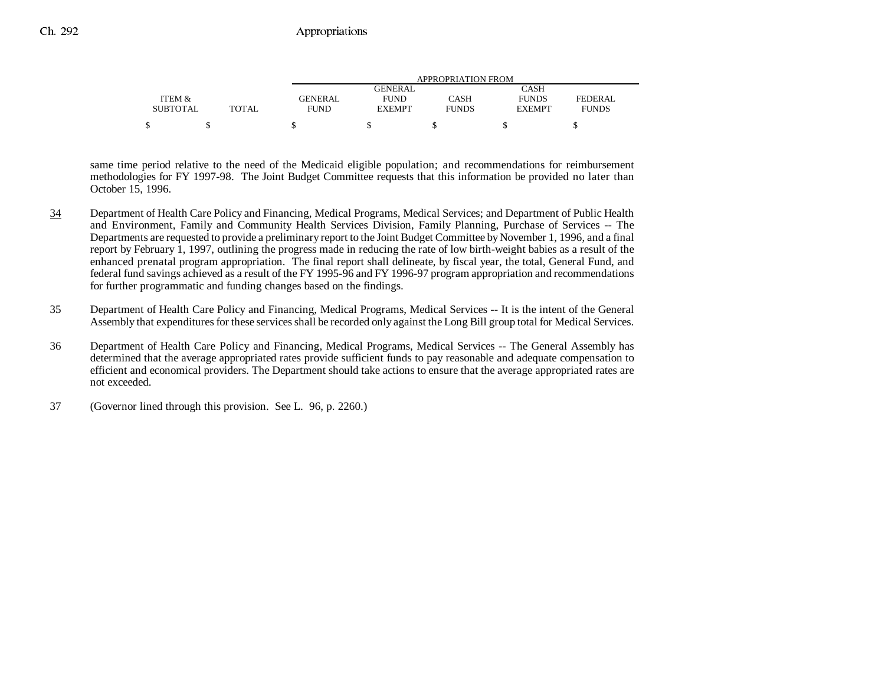|                 |              |                | APPROPRIATION FROM |              |               |                |  |  |  |
|-----------------|--------------|----------------|--------------------|--------------|---------------|----------------|--|--|--|
|                 |              |                | GENERAL            |              | CASH          |                |  |  |  |
| ITEM &          |              | <b>GENERAL</b> | <b>FUND</b>        | CASH         | <b>FUNDS</b>  | <b>FEDERAL</b> |  |  |  |
| <b>SUBTOTAL</b> | <b>TOTAL</b> | <b>FUND</b>    | <b>EXEMPT</b>      | <b>FUNDS</b> | <b>EXEMPT</b> | <b>FUNDS</b>   |  |  |  |
|                 |              |                |                    |              |               |                |  |  |  |

same time period relative to the need of the Medicaid eligible population; and recommendations for reimbursement methodologies for FY 1997-98. The Joint Budget Committee requests that this information be provided no later than October 15, 1996.

- 34 Department of Health Care Policy and Financing, Medical Programs, Medical Services; and Department of Public Health and Environment, Family and Community Health Services Division, Family Planning, Purchase of Services -- The Departments are requested to provide a preliminary report to the Joint Budget Committee by November 1, 1996, and a final report by February 1, 1997, outlining the progress made in reducing the rate of low birth-weight babies as a result of the enhanced prenatal program appropriation. The final report shall delineate, by fiscal year, the total, General Fund, and federal fund savings achieved as a result of the FY 1995-96 and FY 1996-97 program appropriation and recommendations for further programmatic and funding changes based on the findings.
- 35 Department of Health Care Policy and Financing, Medical Programs, Medical Services -- It is the intent of the General Assembly that expenditures for these services shall be recorded only against the Long Bill group total for Medical Services.
- 36 Department of Health Care Policy and Financing, Medical Programs, Medical Services -- The General Assembly has determined that the average appropriated rates provide sufficient funds to pay reasonable and adequate compensation to efficient and economical providers. The Department should take actions to ensure that the average appropriated rates are not exceeded.
- 37 (Governor lined through this provision. See L. 96, p. 2260.)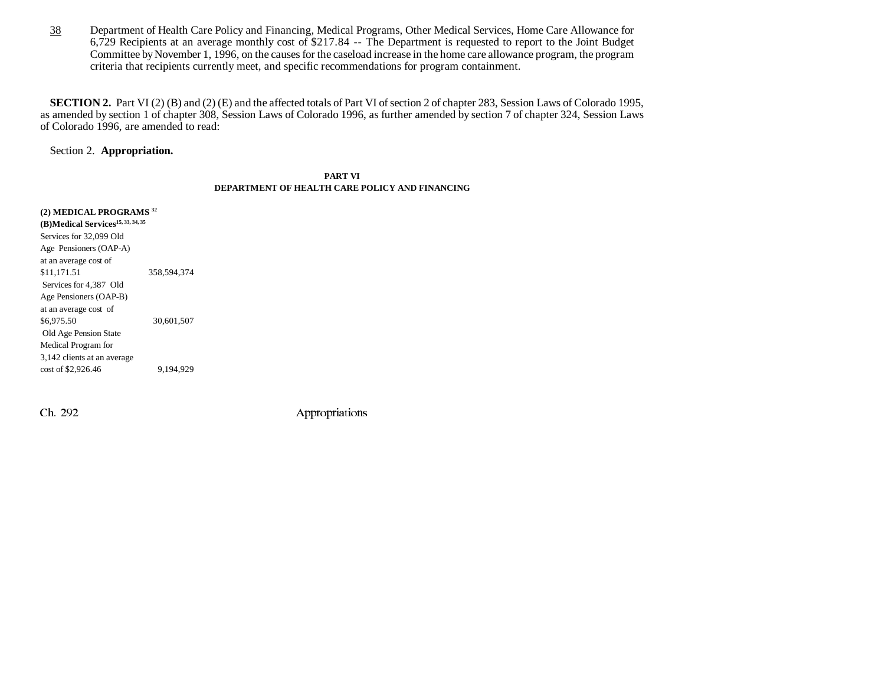38 Department of Health Care Policy and Financing, Medical Programs, Other Medical Services, Home Care Allowance for 6,729 Recipients at an average monthly cost of \$217.84 -- The Department is requested to report to the Joint Budget Committee by November 1, 1996, on the causes for the caseload increase in the home care allowance program, the program criteria that recipients currently meet, and specific recommendations for program containment.

**SECTION 2.** Part VI (2) (B) and (2) (E) and the affected totals of Part VI of section 2 of chapter 283, Session Laws of Colorado 1995, as amended by section 1 of chapter 308, Session Laws of Colorado 1996, as further amended by section 7 of chapter 324, Session Laws of Colorado 1996, are amended to read:

Section 2. **Appropriation.**

#### **PART VIDEPARTMENT OF HEALTH CARE POLICY AND FINANCING**

**(2) MEDICAL PROGRAMS <sup>32</sup> (B)Medical Services15, 33, 34, 35** Services for 32,099 Old Age Pensioners (OAP-A) at an average cost of \$11,171.51 358,594,374 Services for 4,387 Old Age Pensioners (OAP-B) at an average cost of \$6,975.50 30,601,507 Old Age Pension State Medical Program for 3,142 clients at an average cost of \$2,926.46 9,194,929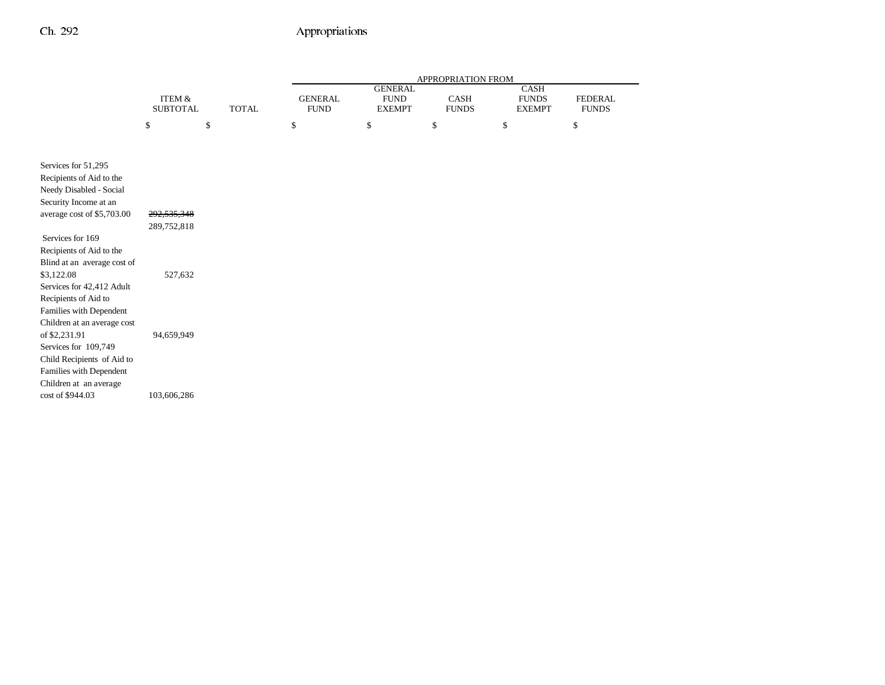|                             |                   |              | APPROPRIATION FROM |                |              |               |                |
|-----------------------------|-------------------|--------------|--------------------|----------------|--------------|---------------|----------------|
|                             |                   |              |                    | <b>GENERAL</b> |              | CASH          |                |
|                             | <b>ITEM &amp;</b> |              | <b>GENERAL</b>     | <b>FUND</b>    | CASH         | <b>FUNDS</b>  | <b>FEDERAL</b> |
|                             | <b>SUBTOTAL</b>   | <b>TOTAL</b> | <b>FUND</b>        | <b>EXEMPT</b>  | <b>FUNDS</b> | <b>EXEMPT</b> | <b>FUNDS</b>   |
|                             | \$                | \$           | \$                 | \$             | \$           | \$            | \$             |
|                             |                   |              |                    |                |              |               |                |
|                             |                   |              |                    |                |              |               |                |
| Services for 51,295         |                   |              |                    |                |              |               |                |
| Recipients of Aid to the    |                   |              |                    |                |              |               |                |
| Needy Disabled - Social     |                   |              |                    |                |              |               |                |
| Security Income at an       |                   |              |                    |                |              |               |                |
| average cost of \$5,703.00  | 292,535,348       |              |                    |                |              |               |                |
|                             | 289,752,818       |              |                    |                |              |               |                |
| Services for 169            |                   |              |                    |                |              |               |                |
| Recipients of Aid to the    |                   |              |                    |                |              |               |                |
| Blind at an average cost of |                   |              |                    |                |              |               |                |
| \$3,122.08                  | 527,632           |              |                    |                |              |               |                |
| Services for 42,412 Adult   |                   |              |                    |                |              |               |                |
| Recipients of Aid to        |                   |              |                    |                |              |               |                |
| Families with Dependent     |                   |              |                    |                |              |               |                |
| Children at an average cost |                   |              |                    |                |              |               |                |
| of \$2,231.91               | 94,659,949        |              |                    |                |              |               |                |
| Services for 109,749        |                   |              |                    |                |              |               |                |
| Child Recipients of Aid to  |                   |              |                    |                |              |               |                |
| Families with Dependent     |                   |              |                    |                |              |               |                |
| Children at an average      |                   |              |                    |                |              |               |                |
| cost of \$944.03            | 103,606,286       |              |                    |                |              |               |                |
|                             |                   |              |                    |                |              |               |                |
|                             |                   |              |                    |                |              |               |                |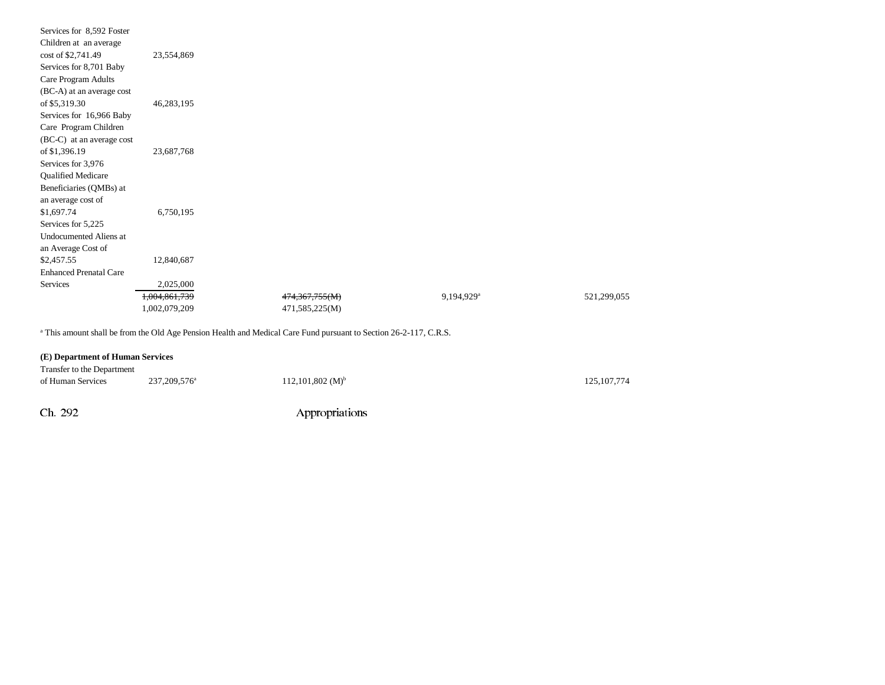| Services for 8,592 Foster     |               |                |                        |             |
|-------------------------------|---------------|----------------|------------------------|-------------|
| Children at an average        |               |                |                        |             |
| cost of \$2,741.49            | 23,554,869    |                |                        |             |
| Services for 8,701 Baby       |               |                |                        |             |
| Care Program Adults           |               |                |                        |             |
| (BC-A) at an average cost     |               |                |                        |             |
| of \$5,319.30                 | 46,283,195    |                |                        |             |
| Services for 16,966 Baby      |               |                |                        |             |
| Care Program Children         |               |                |                        |             |
| (BC-C) at an average cost     |               |                |                        |             |
| of \$1,396.19                 | 23,687,768    |                |                        |             |
| Services for 3,976            |               |                |                        |             |
| <b>Qualified Medicare</b>     |               |                |                        |             |
| Beneficiaries (QMBs) at       |               |                |                        |             |
| an average cost of            |               |                |                        |             |
| \$1,697.74                    | 6,750,195     |                |                        |             |
| Services for 5,225            |               |                |                        |             |
| Undocumented Aliens at        |               |                |                        |             |
| an Average Cost of            |               |                |                        |             |
| \$2,457.55                    | 12,840,687    |                |                        |             |
| <b>Enhanced Prenatal Care</b> |               |                |                        |             |
| Services                      | 2,025,000     |                |                        |             |
|                               | 1,004,861,739 | 474,367,755(M) | 9,194,929 <sup>a</sup> | 521,299,055 |
|                               | 1,002,079,209 | 471,585,225(M) |                        |             |
|                               |               |                |                        |             |

<sup>a</sup> This amount shall be from the Old Age Pension Health and Medical Care Fund pursuant to Section 26-2-117, C.R.S.

#### **(E) Department of Human Services**

| Transfer to the Department |                            |                         |               |
|----------------------------|----------------------------|-------------------------|---------------|
| of Human Services          | 237, 209, 576 <sup>a</sup> | $112,101,802 \ (M)^{b}$ | 125, 107, 774 |
|                            |                            |                         |               |
| Ch. 292                    |                            | Appropriations          |               |
|                            |                            |                         |               |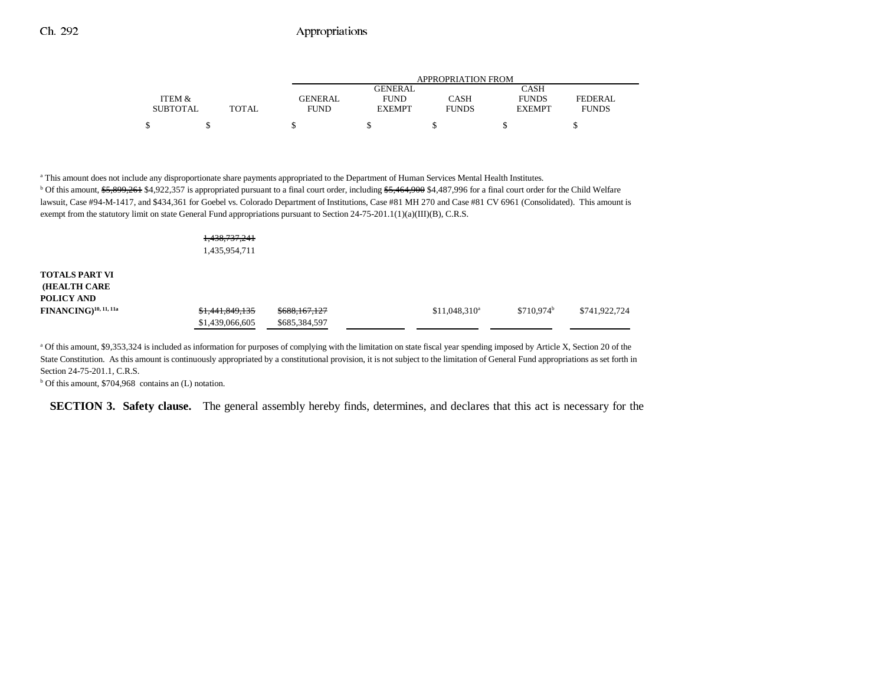|                 |       | APPROPRIATION FROM |                |              |               |                |  |  |  |
|-----------------|-------|--------------------|----------------|--------------|---------------|----------------|--|--|--|
|                 |       |                    | <b>GENERAL</b> |              | CASH          |                |  |  |  |
| ITEM &          |       | GENERAL            | <b>FUND</b>    | CASH         | <b>FUNDS</b>  | <b>FEDERAL</b> |  |  |  |
| <b>SUBTOTAL</b> | TOTAL | <b>FUND</b>        | <b>EXEMPT</b>  | <b>FUNDS</b> | <b>EXEMPT</b> | <b>FUNDS</b>   |  |  |  |
| \$              |       |                    |                |              |               |                |  |  |  |

a This amount does not include any disproportionate share payments appropriated to the Department of Human Services Mental Health Institutes. <sup>b</sup> Of this amount, \$5,899,261 \$4,922,357 is appropriated pursuant to a final court order, including \$5,464,900 \$4,487,996 for a final court order for the Child Welfare lawsuit, Case #94-M-1417, and \$434,361 for Goebel vs. Colorado Department of Institutions, Case #81 MH 270 and Case #81 CV 6961 (Consolidated). This amount is exempt from the statutory limit on state General Fund appropriations pursuant to Section 24-75-201.1(1)(a)(III)(B), C.R.S.

|                                                            | 1,438,737,241<br>1,435,954,711     |                                |                 |              |               |
|------------------------------------------------------------|------------------------------------|--------------------------------|-----------------|--------------|---------------|
| <b>TOTALS PART VI</b><br><b>(HEALTH CARE</b><br>POLICY AND |                                    |                                |                 |              |               |
| $FINANCING)^{10, 11, 11a}$                                 | \$1,441,849,135<br>\$1,439,066,605 | \$688,167,127<br>\$685,384,597 | $$11,048,310^a$ | $$710.974^b$ | \$741,922,724 |

<sup>a</sup> Of this amount, \$9,353,324 is included as information for purposes of complying with the limitation on state fiscal year spending imposed by Article X, Section 20 of the State Constitution. As this amount is continuously appropriated by a constitutional provision, it is not subject to the limitation of General Fund appropriations as set forth in Section 24-75-201.1, C.R.S.

 $<sup>b</sup>$  Of this amount, \$704,968 contains an (L) notation.</sup>

**SECTION 3. Safety clause.** The general assembly hereby finds, determines, and declares that this act is necessary for the